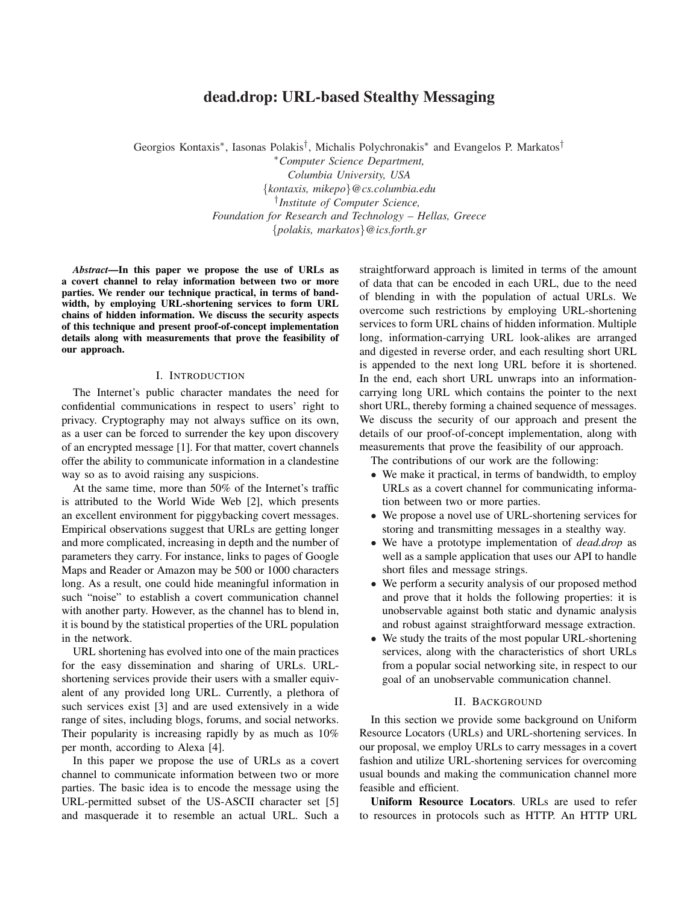# dead.drop: URL-based Stealthy Messaging

Georgios Kontaxis<sup>\*</sup>, Iasonas Polakis<sup>†</sup>, Michalis Polychronakis<sup>\*</sup> and Evangelos P. Markatos<sup>†</sup>

<sup>∗</sup>*Computer Science Department, Columbia University, USA* {*kontaxis, mikepo*}*@cs.columbia.edu* † *Institute of Computer Science, Foundation for Research and Technology – Hellas, Greece* {*polakis, markatos*}*@ics.forth.gr*

*Abstract*—In this paper we propose the use of URLs as a covert channel to relay information between two or more parties. We render our technique practical, in terms of bandwidth, by employing URL-shortening services to form URL chains of hidden information. We discuss the security aspects of this technique and present proof-of-concept implementation details along with measurements that prove the feasibility of our approach.

#### I. INTRODUCTION

The Internet's public character mandates the need for confidential communications in respect to users' right to privacy. Cryptography may not always suffice on its own, as a user can be forced to surrender the key upon discovery of an encrypted message [1]. For that matter, covert channels offer the ability to communicate information in a clandestine way so as to avoid raising any suspicions.

At the same time, more than 50% of the Internet's traffic is attributed to the World Wide Web [2], which presents an excellent environment for piggybacking covert messages. Empirical observations suggest that URLs are getting longer and more complicated, increasing in depth and the number of parameters they carry. For instance, links to pages of Google Maps and Reader or Amazon may be 500 or 1000 characters long. As a result, one could hide meaningful information in such "noise" to establish a covert communication channel with another party. However, as the channel has to blend in, it is bound by the statistical properties of the URL population in the network.

URL shortening has evolved into one of the main practices for the easy dissemination and sharing of URLs. URLshortening services provide their users with a smaller equivalent of any provided long URL. Currently, a plethora of such services exist [3] and are used extensively in a wide range of sites, including blogs, forums, and social networks. Their popularity is increasing rapidly by as much as 10% per month, according to Alexa [4].

In this paper we propose the use of URLs as a covert channel to communicate information between two or more parties. The basic idea is to encode the message using the URL-permitted subset of the US-ASCII character set [5] and masquerade it to resemble an actual URL. Such a straightforward approach is limited in terms of the amount of data that can be encoded in each URL, due to the need of blending in with the population of actual URLs. We overcome such restrictions by employing URL-shortening services to form URL chains of hidden information. Multiple long, information-carrying URL look-alikes are arranged and digested in reverse order, and each resulting short URL is appended to the next long URL before it is shortened. In the end, each short URL unwraps into an informationcarrying long URL which contains the pointer to the next short URL, thereby forming a chained sequence of messages. We discuss the security of our approach and present the details of our proof-of-concept implementation, along with measurements that prove the feasibility of our approach.

The contributions of our work are the following:

- We make it practical, in terms of bandwidth, to employ URLs as a covert channel for communicating information between two or more parties.
- We propose a novel use of URL-shortening services for storing and transmitting messages in a stealthy way.
- We have a prototype implementation of *dead.drop* as well as a sample application that uses our API to handle short files and message strings.
- We perform a security analysis of our proposed method and prove that it holds the following properties: it is unobservable against both static and dynamic analysis and robust against straightforward message extraction.
- We study the traits of the most popular URL-shortening services, along with the characteristics of short URLs from a popular social networking site, in respect to our goal of an unobservable communication channel.

## II. BACKGROUND

In this section we provide some background on Uniform Resource Locators (URLs) and URL-shortening services. In our proposal, we employ URLs to carry messages in a covert fashion and utilize URL-shortening services for overcoming usual bounds and making the communication channel more feasible and efficient.

Uniform Resource Locators. URLs are used to refer to resources in protocols such as HTTP. An HTTP URL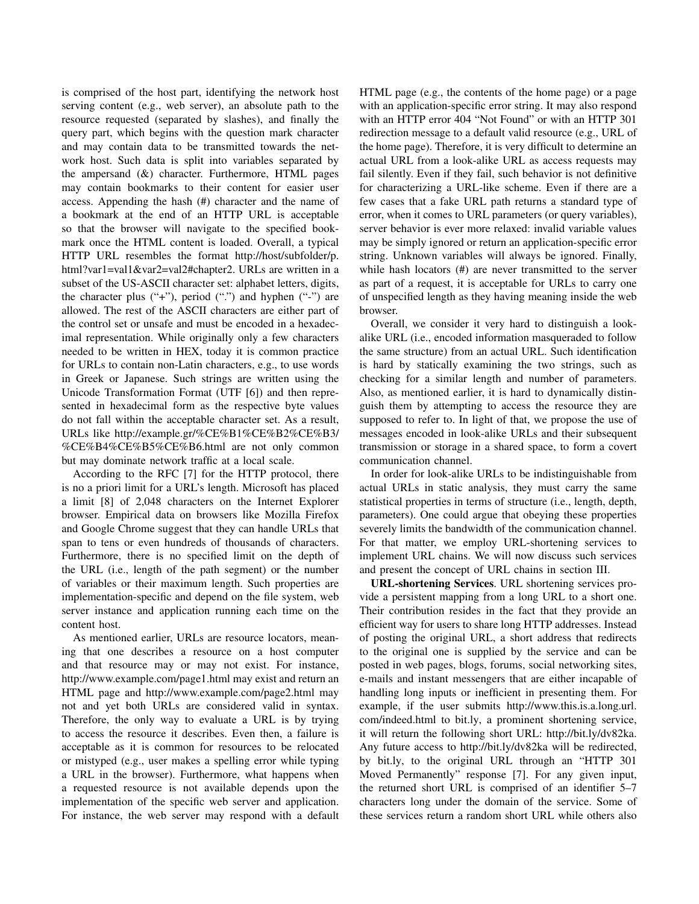is comprised of the host part, identifying the network host serving content (e.g., web server), an absolute path to the resource requested (separated by slashes), and finally the query part, which begins with the question mark character and may contain data to be transmitted towards the network host. Such data is split into variables separated by the ampersand  $(\&)$  character. Furthermore, HTML pages may contain bookmarks to their content for easier user access. Appending the hash (#) character and the name of a bookmark at the end of an HTTP URL is acceptable so that the browser will navigate to the specified bookmark once the HTML content is loaded. Overall, a typical HTTP URL resembles the format http://host/subfolder/p. html?var1=val1&var2=val2#chapter2. URLs are written in a subset of the US-ASCII character set: alphabet letters, digits, the character plus  $("+")$ , period  $("")$  and hyphen  $("-)$  are allowed. The rest of the ASCII characters are either part of the control set or unsafe and must be encoded in a hexadecimal representation. While originally only a few characters needed to be written in HEX, today it is common practice for URLs to contain non-Latin characters, e.g., to use words in Greek or Japanese. Such strings are written using the Unicode Transformation Format (UTF [6]) and then represented in hexadecimal form as the respective byte values do not fall within the acceptable character set. As a result, URLs like http://example.gr/%CE%B1%CE%B2%CE%B3/ %CE%B4%CE%B5%CE%B6.html are not only common but may dominate network traffic at a local scale.

According to the RFC [7] for the HTTP protocol, there is no a priori limit for a URL's length. Microsoft has placed a limit [8] of 2,048 characters on the Internet Explorer browser. Empirical data on browsers like Mozilla Firefox and Google Chrome suggest that they can handle URLs that span to tens or even hundreds of thousands of characters. Furthermore, there is no specified limit on the depth of the URL (i.e., length of the path segment) or the number of variables or their maximum length. Such properties are implementation-specific and depend on the file system, web server instance and application running each time on the content host.

As mentioned earlier, URLs are resource locators, meaning that one describes a resource on a host computer and that resource may or may not exist. For instance, http://www.example.com/page1.html may exist and return an HTML page and http://www.example.com/page2.html may not and yet both URLs are considered valid in syntax. Therefore, the only way to evaluate a URL is by trying to access the resource it describes. Even then, a failure is acceptable as it is common for resources to be relocated or mistyped (e.g., user makes a spelling error while typing a URL in the browser). Furthermore, what happens when a requested resource is not available depends upon the implementation of the specific web server and application. For instance, the web server may respond with a default HTML page (e.g., the contents of the home page) or a page with an application-specific error string. It may also respond with an HTTP error 404 "Not Found" or with an HTTP 301 redirection message to a default valid resource (e.g., URL of the home page). Therefore, it is very difficult to determine an actual URL from a look-alike URL as access requests may fail silently. Even if they fail, such behavior is not definitive for characterizing a URL-like scheme. Even if there are a few cases that a fake URL path returns a standard type of error, when it comes to URL parameters (or query variables), server behavior is ever more relaxed: invalid variable values may be simply ignored or return an application-specific error string. Unknown variables will always be ignored. Finally, while hash locators (#) are never transmitted to the server as part of a request, it is acceptable for URLs to carry one of unspecified length as they having meaning inside the web browser.

Overall, we consider it very hard to distinguish a lookalike URL (i.e., encoded information masqueraded to follow the same structure) from an actual URL. Such identification is hard by statically examining the two strings, such as checking for a similar length and number of parameters. Also, as mentioned earlier, it is hard to dynamically distinguish them by attempting to access the resource they are supposed to refer to. In light of that, we propose the use of messages encoded in look-alike URLs and their subsequent transmission or storage in a shared space, to form a covert communication channel.

In order for look-alike URLs to be indistinguishable from actual URLs in static analysis, they must carry the same statistical properties in terms of structure (i.e., length, depth, parameters). One could argue that obeying these properties severely limits the bandwidth of the communication channel. For that matter, we employ URL-shortening services to implement URL chains. We will now discuss such services and present the concept of URL chains in section III.

URL-shortening Services. URL shortening services provide a persistent mapping from a long URL to a short one. Their contribution resides in the fact that they provide an efficient way for users to share long HTTP addresses. Instead of posting the original URL, a short address that redirects to the original one is supplied by the service and can be posted in web pages, blogs, forums, social networking sites, e-mails and instant messengers that are either incapable of handling long inputs or inefficient in presenting them. For example, if the user submits http://www.this.is.a.long.url. com/indeed.html to bit.ly, a prominent shortening service, it will return the following short URL: http://bit.ly/dv82ka. Any future access to http://bit.ly/dv82ka will be redirected, by bit.ly, to the original URL through an "HTTP 301 Moved Permanently" response [7]. For any given input, the returned short URL is comprised of an identifier 5–7 characters long under the domain of the service. Some of these services return a random short URL while others also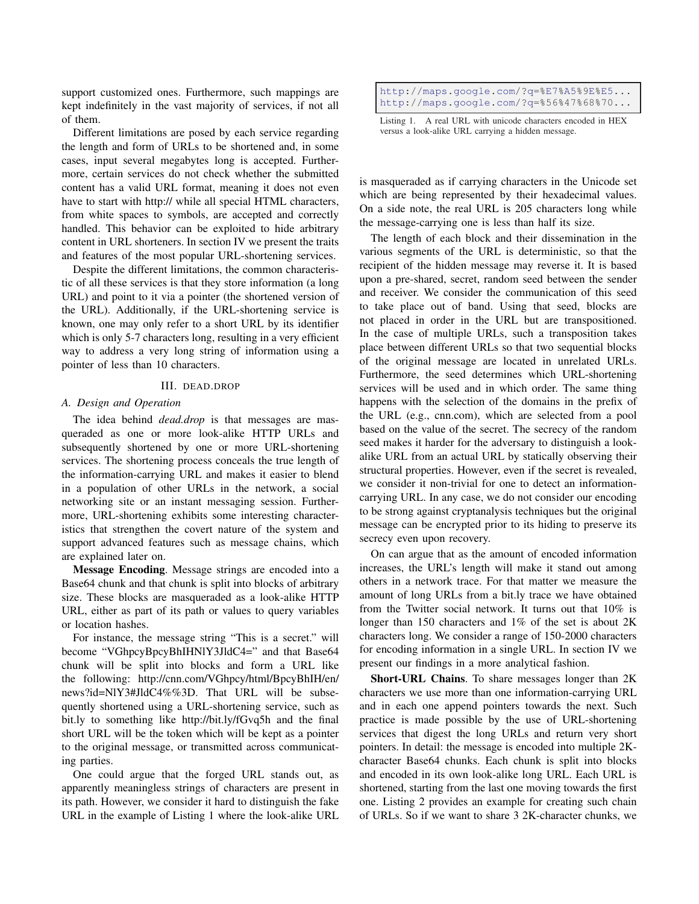support customized ones. Furthermore, such mappings are kept indefinitely in the vast majority of services, if not all of them.

Different limitations are posed by each service regarding the length and form of URLs to be shortened and, in some cases, input several megabytes long is accepted. Furthermore, certain services do not check whether the submitted content has a valid URL format, meaning it does not even have to start with http:// while all special HTML characters, from white spaces to symbols, are accepted and correctly handled. This behavior can be exploited to hide arbitrary content in URL shorteners. In section IV we present the traits and features of the most popular URL-shortening services.

Despite the different limitations, the common characteristic of all these services is that they store information (a long URL) and point to it via a pointer (the shortened version of the URL). Additionally, if the URL-shortening service is known, one may only refer to a short URL by its identifier which is only 5-7 characters long, resulting in a very efficient way to address a very long string of information using a pointer of less than 10 characters.

#### III. DEAD.DROP

## *A. Design and Operation*

The idea behind *dead.drop* is that messages are masqueraded as one or more look-alike HTTP URLs and subsequently shortened by one or more URL-shortening services. The shortening process conceals the true length of the information-carrying URL and makes it easier to blend in a population of other URLs in the network, a social networking site or an instant messaging session. Furthermore, URL-shortening exhibits some interesting characteristics that strengthen the covert nature of the system and support advanced features such as message chains, which are explained later on.

Message Encoding. Message strings are encoded into a Base64 chunk and that chunk is split into blocks of arbitrary size. These blocks are masqueraded as a look-alike HTTP URL, either as part of its path or values to query variables or location hashes.

For instance, the message string "This is a secret." will become "VGhpcyBpcyBhIHNlY3JldC4=" and that Base64 chunk will be split into blocks and form a URL like the following: http://cnn.com/VGhpcy/html/BpcyBhIH/en/ news?id=NlY3#JldC4%%3D. That URL will be subsequently shortened using a URL-shortening service, such as bit.ly to something like http://bit.ly/fGvq5h and the final short URL will be the token which will be kept as a pointer to the original message, or transmitted across communicating parties.

One could argue that the forged URL stands out, as apparently meaningless strings of characters are present in its path. However, we consider it hard to distinguish the fake URL in the example of Listing 1 where the look-alike URL http://maps.google.com/?q=%E7%A5%9E%E5... http://maps.google.com/?q=%56%47%68%70...

Listing 1. A real URL with unicode characters encoded in HEX versus a look-alike URL carrying a hidden message.

is masqueraded as if carrying characters in the Unicode set which are being represented by their hexadecimal values. On a side note, the real URL is 205 characters long while the message-carrying one is less than half its size.

The length of each block and their dissemination in the various segments of the URL is deterministic, so that the recipient of the hidden message may reverse it. It is based upon a pre-shared, secret, random seed between the sender and receiver. We consider the communication of this seed to take place out of band. Using that seed, blocks are not placed in order in the URL but are transpositioned. In the case of multiple URLs, such a transposition takes place between different URLs so that two sequential blocks of the original message are located in unrelated URLs. Furthermore, the seed determines which URL-shortening services will be used and in which order. The same thing happens with the selection of the domains in the prefix of the URL (e.g., cnn.com), which are selected from a pool based on the value of the secret. The secrecy of the random seed makes it harder for the adversary to distinguish a lookalike URL from an actual URL by statically observing their structural properties. However, even if the secret is revealed, we consider it non-trivial for one to detect an informationcarrying URL. In any case, we do not consider our encoding to be strong against cryptanalysis techniques but the original message can be encrypted prior to its hiding to preserve its secrecy even upon recovery.

On can argue that as the amount of encoded information increases, the URL's length will make it stand out among others in a network trace. For that matter we measure the amount of long URLs from a bit.ly trace we have obtained from the Twitter social network. It turns out that 10% is longer than 150 characters and 1% of the set is about 2K characters long. We consider a range of 150-2000 characters for encoding information in a single URL. In section IV we present our findings in a more analytical fashion.

Short-URL Chains. To share messages longer than 2K characters we use more than one information-carrying URL and in each one append pointers towards the next. Such practice is made possible by the use of URL-shortening services that digest the long URLs and return very short pointers. In detail: the message is encoded into multiple 2Kcharacter Base64 chunks. Each chunk is split into blocks and encoded in its own look-alike long URL. Each URL is shortened, starting from the last one moving towards the first one. Listing 2 provides an example for creating such chain of URLs. So if we want to share 3 2K-character chunks, we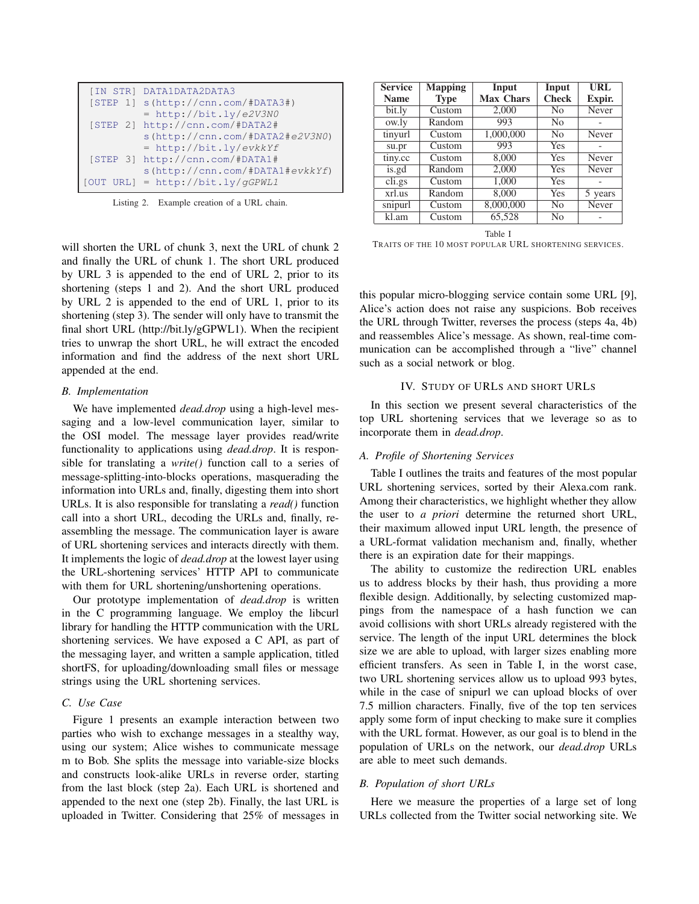| [IN STR] DATA1DATA2DATA3              |
|---------------------------------------|
| [STEP 1] $s$ (http://cnn.com/#DATA3#) |
| $=$ http://bit.ly/e2V3N0              |
| [STEP 2] http://cnn.com/#DATA2#       |
| s(http://cnn.com/#DATA2#e2V3N0)       |
| $=$ http://bit.ly/evkkYf              |
| [STEP 3] http://cnn.com/#DATA1#       |
| s(http://cnn.com/#DATA1#evkkYf)       |
| [OUT URL] = $http://bit.ly/gGPWL1$    |

Listing 2. Example creation of a URL chain.

will shorten the URL of chunk 3, next the URL of chunk 2 and finally the URL of chunk 1. The short URL produced by URL 3 is appended to the end of URL 2, prior to its shortening (steps 1 and 2). And the short URL produced by URL 2 is appended to the end of URL 1, prior to its shortening (step 3). The sender will only have to transmit the final short URL (http://bit.ly/gGPWL1). When the recipient tries to unwrap the short URL, he will extract the encoded information and find the address of the next short URL appended at the end.

#### *B. Implementation*

We have implemented *dead.drop* using a high-level messaging and a low-level communication layer, similar to the OSI model. The message layer provides read/write functionality to applications using *dead.drop*. It is responsible for translating a *write()* function call to a series of message-splitting-into-blocks operations, masquerading the information into URLs and, finally, digesting them into short URLs. It is also responsible for translating a *read()* function call into a short URL, decoding the URLs and, finally, reassembling the message. The communication layer is aware of URL shortening services and interacts directly with them. It implements the logic of *dead.drop* at the lowest layer using the URL-shortening services' HTTP API to communicate with them for URL shortening/unshortening operations.

Our prototype implementation of *dead.drop* is written in the C programming language. We employ the libcurl library for handling the HTTP communication with the URL shortening services. We have exposed a C API, as part of the messaging layer, and written a sample application, titled shortFS, for uploading/downloading small files or message strings using the URL shortening services.

## *C. Use Case*

Figure 1 presents an example interaction between two parties who wish to exchange messages in a stealthy way, using our system; Alice wishes to communicate message m to Bob. She splits the message into variable-size blocks and constructs look-alike URLs in reverse order, starting from the last block (step 2a). Each URL is shortened and appended to the next one (step 2b). Finally, the last URL is uploaded in Twitter. Considering that 25% of messages in

| <b>Service</b> | <b>Mapping</b> | Input            | Input          | URL          |
|----------------|----------------|------------------|----------------|--------------|
| <b>Name</b>    | <b>Type</b>    | <b>Max Chars</b> | <b>Check</b>   | Expir.       |
| bit.ly         | Custom         | 2,000            | N <sub>0</sub> | Never        |
| ow.ly          | Random         | 993              | N <sub>0</sub> |              |
| tinyurl        | Custom         | 1,000,000        | N <sub>0</sub> | Never        |
| su.pr          | Custom         | 993              | Yes            |              |
| tiny.cc        | Custom         | 8,000            | Yes            | Never        |
| is.gd          | Random         | 2,000            | Yes            | <b>Never</b> |
| cli.gs         | Custom         | 1,000            | Yes            |              |
| xrl.us         | Random         | 8,000            | Yes            | 5 years      |
| snipurl        | Custom         | 8,000,000        | N <sub>0</sub> | Never        |
| kl.am          | Custom         | 65,528           | N <sub>0</sub> |              |
|                |                | Table I          |                |              |

TRAITS OF THE 10 MOST POPULAR URL SHORTENING SERVICES.

this popular micro-blogging service contain some URL [9], Alice's action does not raise any suspicions. Bob receives the URL through Twitter, reverses the process (steps 4a, 4b) and reassembles Alice's message. As shown, real-time communication can be accomplished through a "live" channel such as a social network or blog.

## IV. STUDY OF URLS AND SHORT URLS

In this section we present several characteristics of the top URL shortening services that we leverage so as to incorporate them in *dead.drop*.

## *A. Profile of Shortening Services*

Table I outlines the traits and features of the most popular URL shortening services, sorted by their Alexa.com rank. Among their characteristics, we highlight whether they allow the user to *a priori* determine the returned short URL, their maximum allowed input URL length, the presence of a URL-format validation mechanism and, finally, whether there is an expiration date for their mappings.

The ability to customize the redirection URL enables us to address blocks by their hash, thus providing a more flexible design. Additionally, by selecting customized mappings from the namespace of a hash function we can avoid collisions with short URLs already registered with the service. The length of the input URL determines the block size we are able to upload, with larger sizes enabling more efficient transfers. As seen in Table I, in the worst case, two URL shortening services allow us to upload 993 bytes, while in the case of snipurl we can upload blocks of over 7.5 million characters. Finally, five of the top ten services apply some form of input checking to make sure it complies with the URL format. However, as our goal is to blend in the population of URLs on the network, our *dead.drop* URLs are able to meet such demands.

#### *B. Population of short URLs*

Here we measure the properties of a large set of long URLs collected from the Twitter social networking site. We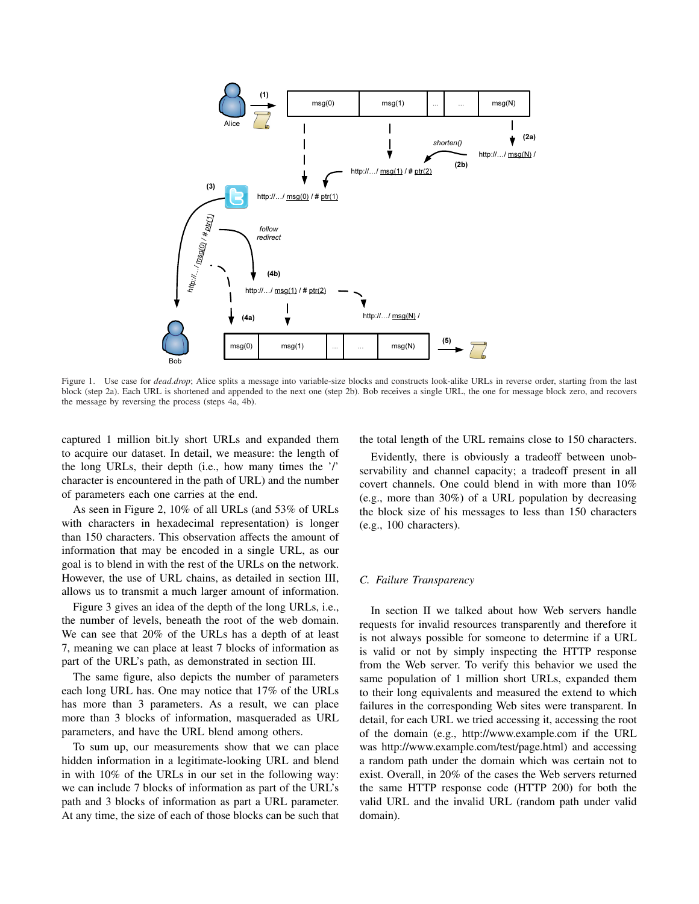

Figure 1. Use case for *dead.drop*; Alice splits a message into variable-size blocks and constructs look-alike URLs in reverse order, starting from the last block (step 2a). Each URL is shortened and appended to the next one (step 2b). Bob receives a single URL, the one for message block zero, and recovers the message by reversing the process (steps 4a, 4b).

captured 1 million bit.ly short URLs and expanded them to acquire our dataset. In detail, we measure: the length of the long URLs, their depth (i.e., how many times the '/' character is encountered in the path of URL) and the number of parameters each one carries at the end.

As seen in Figure 2, 10% of all URLs (and 53% of URLs with characters in hexadecimal representation) is longer than 150 characters. This observation affects the amount of information that may be encoded in a single URL, as our goal is to blend in with the rest of the URLs on the network. However, the use of URL chains, as detailed in section III, allows us to transmit a much larger amount of information.

Figure 3 gives an idea of the depth of the long URLs, i.e., the number of levels, beneath the root of the web domain. We can see that 20% of the URLs has a depth of at least 7, meaning we can place at least 7 blocks of information as part of the URL's path, as demonstrated in section III.

The same figure, also depicts the number of parameters each long URL has. One may notice that 17% of the URLs has more than 3 parameters. As a result, we can place more than 3 blocks of information, masqueraded as URL parameters, and have the URL blend among others.

To sum up, our measurements show that we can place hidden information in a legitimate-looking URL and blend in with 10% of the URLs in our set in the following way: we can include 7 blocks of information as part of the URL's path and 3 blocks of information as part a URL parameter. At any time, the size of each of those blocks can be such that the total length of the URL remains close to 150 characters.

Evidently, there is obviously a tradeoff between unobservability and channel capacity; a tradeoff present in all covert channels. One could blend in with more than 10% (e.g., more than 30%) of a URL population by decreasing the block size of his messages to less than 150 characters (e.g., 100 characters).

#### *C. Failure Transparency*

In section II we talked about how Web servers handle requests for invalid resources transparently and therefore it is not always possible for someone to determine if a URL is valid or not by simply inspecting the HTTP response from the Web server. To verify this behavior we used the same population of 1 million short URLs, expanded them to their long equivalents and measured the extend to which failures in the corresponding Web sites were transparent. In detail, for each URL we tried accessing it, accessing the root of the domain (e.g., http://www.example.com if the URL was http://www.example.com/test/page.html) and accessing a random path under the domain which was certain not to exist. Overall, in 20% of the cases the Web servers returned the same HTTP response code (HTTP 200) for both the valid URL and the invalid URL (random path under valid domain).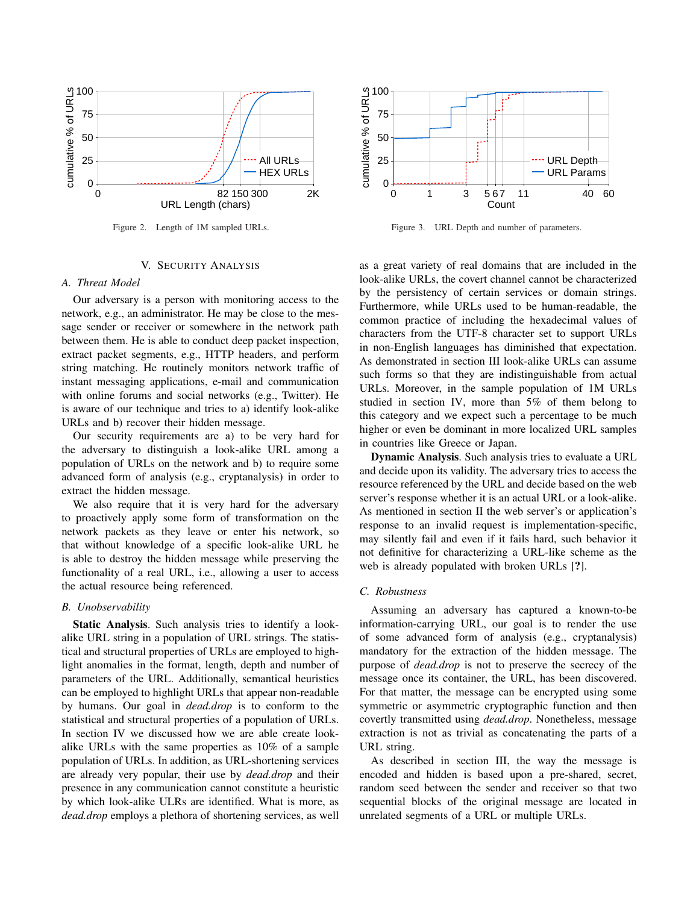

Figure 2. Length of 1M sampled URLs.

### V. SECURITY ANALYSIS

## *A. Threat Model*

Our adversary is a person with monitoring access to the network, e.g., an administrator. He may be close to the message sender or receiver or somewhere in the network path between them. He is able to conduct deep packet inspection, extract packet segments, e.g., HTTP headers, and perform string matching. He routinely monitors network traffic of instant messaging applications, e-mail and communication with online forums and social networks (e.g., Twitter). He is aware of our technique and tries to a) identify look-alike URLs and b) recover their hidden message.

Our security requirements are a) to be very hard for the adversary to distinguish a look-alike URL among a population of URLs on the network and b) to require some advanced form of analysis (e.g., cryptanalysis) in order to extract the hidden message.

We also require that it is very hard for the adversary to proactively apply some form of transformation on the network packets as they leave or enter his network, so that without knowledge of a specific look-alike URL he is able to destroy the hidden message while preserving the functionality of a real URL, i.e., allowing a user to access the actual resource being referenced.

## *B. Unobservability*

Static Analysis. Such analysis tries to identify a lookalike URL string in a population of URL strings. The statistical and structural properties of URLs are employed to highlight anomalies in the format, length, depth and number of parameters of the URL. Additionally, semantical heuristics can be employed to highlight URLs that appear non-readable by humans. Our goal in *dead.drop* is to conform to the statistical and structural properties of a population of URLs. In section IV we discussed how we are able create lookalike URLs with the same properties as 10% of a sample population of URLs. In addition, as URL-shortening services are already very popular, their use by *dead.drop* and their presence in any communication cannot constitute a heuristic by which look-alike ULRs are identified. What is more, as *dead.drop* employs a plethora of shortening services, as well



Figure 3. URL Depth and number of parameters.

as a great variety of real domains that are included in the look-alike URLs, the covert channel cannot be characterized by the persistency of certain services or domain strings. Furthermore, while URLs used to be human-readable, the common practice of including the hexadecimal values of characters from the UTF-8 character set to support URLs in non-English languages has diminished that expectation. As demonstrated in section III look-alike URLs can assume such forms so that they are indistinguishable from actual URLs. Moreover, in the sample population of 1M URLs studied in section IV, more than 5% of them belong to this category and we expect such a percentage to be much higher or even be dominant in more localized URL samples in countries like Greece or Japan.

Dynamic Analysis. Such analysis tries to evaluate a URL and decide upon its validity. The adversary tries to access the resource referenced by the URL and decide based on the web server's response whether it is an actual URL or a look-alike. As mentioned in section II the web server's or application's response to an invalid request is implementation-specific, may silently fail and even if it fails hard, such behavior it not definitive for characterizing a URL-like scheme as the web is already populated with broken URLs [?].

## *C. Robustness*

Assuming an adversary has captured a known-to-be information-carrying URL, our goal is to render the use of some advanced form of analysis (e.g., cryptanalysis) mandatory for the extraction of the hidden message. The purpose of *dead.drop* is not to preserve the secrecy of the message once its container, the URL, has been discovered. For that matter, the message can be encrypted using some symmetric or asymmetric cryptographic function and then covertly transmitted using *dead.drop*. Nonetheless, message extraction is not as trivial as concatenating the parts of a URL string.

As described in section III, the way the message is encoded and hidden is based upon a pre-shared, secret, random seed between the sender and receiver so that two sequential blocks of the original message are located in unrelated segments of a URL or multiple URLs.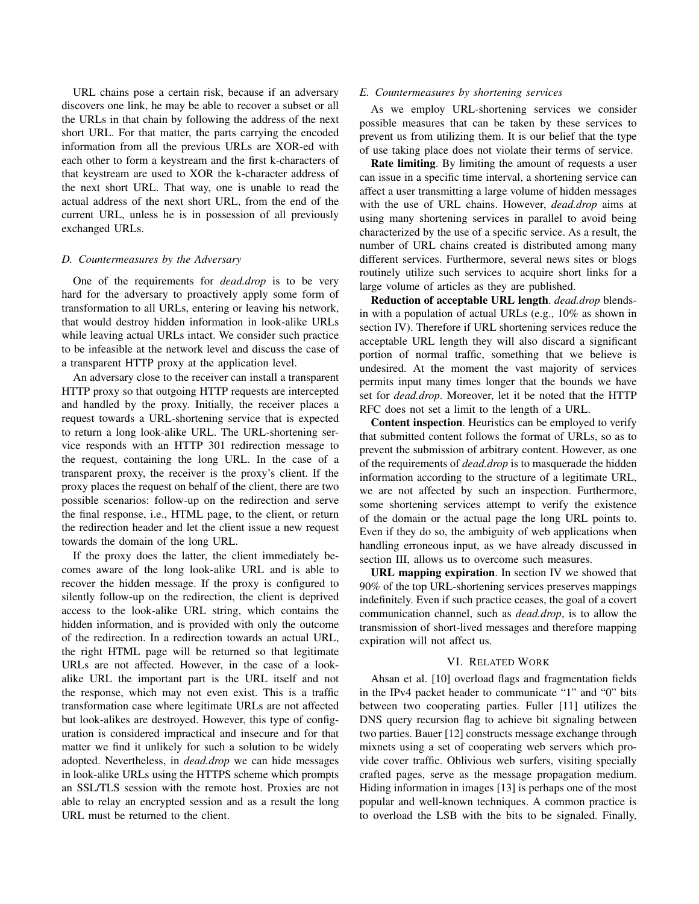URL chains pose a certain risk, because if an adversary discovers one link, he may be able to recover a subset or all the URLs in that chain by following the address of the next short URL. For that matter, the parts carrying the encoded information from all the previous URLs are XOR-ed with each other to form a keystream and the first k-characters of that keystream are used to XOR the k-character address of the next short URL. That way, one is unable to read the actual address of the next short URL, from the end of the current URL, unless he is in possession of all previously exchanged URLs.

## *D. Countermeasures by the Adversary*

One of the requirements for *dead.drop* is to be very hard for the adversary to proactively apply some form of transformation to all URLs, entering or leaving his network, that would destroy hidden information in look-alike URLs while leaving actual URLs intact. We consider such practice to be infeasible at the network level and discuss the case of a transparent HTTP proxy at the application level.

An adversary close to the receiver can install a transparent HTTP proxy so that outgoing HTTP requests are intercepted and handled by the proxy. Initially, the receiver places a request towards a URL-shortening service that is expected to return a long look-alike URL. The URL-shortening service responds with an HTTP 301 redirection message to the request, containing the long URL. In the case of a transparent proxy, the receiver is the proxy's client. If the proxy places the request on behalf of the client, there are two possible scenarios: follow-up on the redirection and serve the final response, i.e., HTML page, to the client, or return the redirection header and let the client issue a new request towards the domain of the long URL.

If the proxy does the latter, the client immediately becomes aware of the long look-alike URL and is able to recover the hidden message. If the proxy is configured to silently follow-up on the redirection, the client is deprived access to the look-alike URL string, which contains the hidden information, and is provided with only the outcome of the redirection. In a redirection towards an actual URL, the right HTML page will be returned so that legitimate URLs are not affected. However, in the case of a lookalike URL the important part is the URL itself and not the response, which may not even exist. This is a traffic transformation case where legitimate URLs are not affected but look-alikes are destroyed. However, this type of configuration is considered impractical and insecure and for that matter we find it unlikely for such a solution to be widely adopted. Nevertheless, in *dead.drop* we can hide messages in look-alike URLs using the HTTPS scheme which prompts an SSL/TLS session with the remote host. Proxies are not able to relay an encrypted session and as a result the long URL must be returned to the client.

#### *E. Countermeasures by shortening services*

As we employ URL-shortening services we consider possible measures that can be taken by these services to prevent us from utilizing them. It is our belief that the type of use taking place does not violate their terms of service.

Rate limiting. By limiting the amount of requests a user can issue in a specific time interval, a shortening service can affect a user transmitting a large volume of hidden messages with the use of URL chains. However, *dead.drop* aims at using many shortening services in parallel to avoid being characterized by the use of a specific service. As a result, the number of URL chains created is distributed among many different services. Furthermore, several news sites or blogs routinely utilize such services to acquire short links for a large volume of articles as they are published.

Reduction of acceptable URL length. *dead.drop* blendsin with a population of actual URLs (e.g., 10% as shown in section IV). Therefore if URL shortening services reduce the acceptable URL length they will also discard a significant portion of normal traffic, something that we believe is undesired. At the moment the vast majority of services permits input many times longer that the bounds we have set for *dead.drop*. Moreover, let it be noted that the HTTP RFC does not set a limit to the length of a URL.

Content inspection. Heuristics can be employed to verify that submitted content follows the format of URLs, so as to prevent the submission of arbitrary content. However, as one of the requirements of *dead.drop* is to masquerade the hidden information according to the structure of a legitimate URL, we are not affected by such an inspection. Furthermore, some shortening services attempt to verify the existence of the domain or the actual page the long URL points to. Even if they do so, the ambiguity of web applications when handling erroneous input, as we have already discussed in section III, allows us to overcome such measures.

URL mapping expiration. In section IV we showed that 90% of the top URL-shortening services preserves mappings indefinitely. Even if such practice ceases, the goal of a covert communication channel, such as *dead.drop*, is to allow the transmission of short-lived messages and therefore mapping expiration will not affect us.

## VI. RELATED WORK

Ahsan et al. [10] overload flags and fragmentation fields in the IPv4 packet header to communicate "1" and "0" bits between two cooperating parties. Fuller [11] utilizes the DNS query recursion flag to achieve bit signaling between two parties. Bauer [12] constructs message exchange through mixnets using a set of cooperating web servers which provide cover traffic. Oblivious web surfers, visiting specially crafted pages, serve as the message propagation medium. Hiding information in images [13] is perhaps one of the most popular and well-known techniques. A common practice is to overload the LSB with the bits to be signaled. Finally,